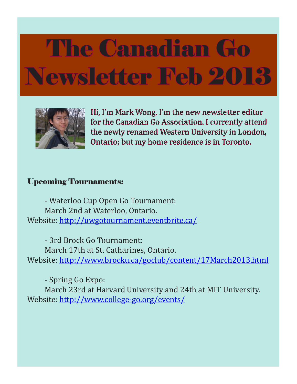

Hi, I'm Mark Wong. I'm the new newsletter editor for the Canadian Go Association. I currently attend the newly renamed Western University in London, Ontario; but my home residence is in Toronto.

### Upcoming Tournaments:

- Waterloo Cup Open Go Tournament: March 2nd at Waterloo, Ontario. Website: http://uwgotournament.eventbrite.ca/

- 3rd Brock Go Tournament: March 17th at St. Catharines, Ontario. Website: http://www.brocku.ca/goclub/content/17March2013.html

- Spring Go Expo: March 23rd at Harvard University and 24th at MIT University. Website: http://www.college-go.org/events/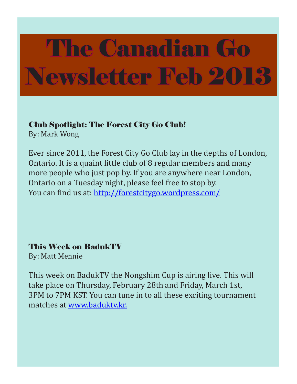Club Spotlight: The Forest City Go Club!

By: Mark Wong

Ever since 2011, the Forest City Go Club lay in the depths of London, Ontario. It is a quaint little club of 8 regular members and many more people who just pop by. If you are anywhere near London, Ontario on a Tuesday night, please feel free to stop by. You can find us at: http://forestcitygo.wordpress.com/

This Week on BadukTV

By: Matt Mennie

This week on BadukTV the Nongshim Cup is airing live. This will take place on Thursday, February 28th and Friday, March 1st, 3PM to 7PM KST. You can tune in to all these exciting tournament matches at www.baduktv.kr.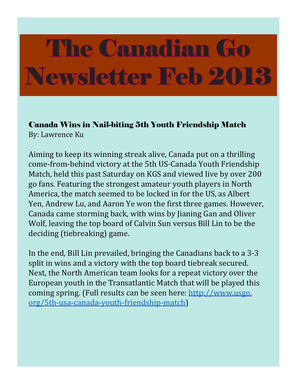Canada Wins in Nail-biting 5th Youth Friendship Match By: Lawrence Ku

Aiming to keep its winning streak alive, Canada put on a thrilling come-from-behind victory at the 5th US-Canada Youth Friendship Match, held this past Saturday on KGS and viewed live by over 200 go fans. Featuring the strongest amateur youth players in North America, the match seemed to be locked in for the US, as Albert Yen, Andrew Lu, and Aaron Ye won the first three games. However, Canada came storming back, with wins by Jianing Gan and Oliver Wolf, leaving the top board of Calvin Sun versus Bill Lin to be the deciding (tiebreaking) game.

In the end, Bill Lin prevailed, bringing the Canadians back to a 3-3 split in wins and a victory with the top board tiebreak secured. Next, the North American team looks for a repeat victory over the European youth in the Transatlantic Match that will be played this coming spring. (Full results can be seen here: http://www.usgo. org/5th-usa-canada-youth-friendship-match)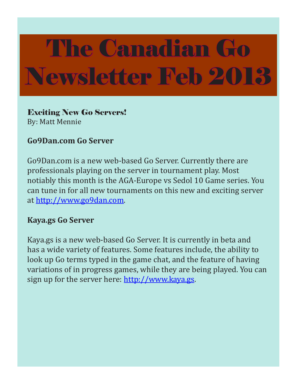Exciting New Go Servers! By: Matt Mennie

### **Go9Dan.com Go Server**

Go9Dan.com is a new web-based Go Server. Currently there are professionals playing on the server in tournament play. Most notiably this month is the AGA-Europe vs Sedol 10 Game series. You can tune in for all new tournaments on this new and exciting server at http://www.go9dan.com.

#### **Kaya.gs Go Server**

Kaya.gs is a new web-based Go Server. It is currently in beta and has a wide variety of features. Some features include, the ability to look up Go terms typed in the game chat, and the feature of having variations of in progress games, while they are being played. You can sign up for the server here: http://www.kaya.gs.